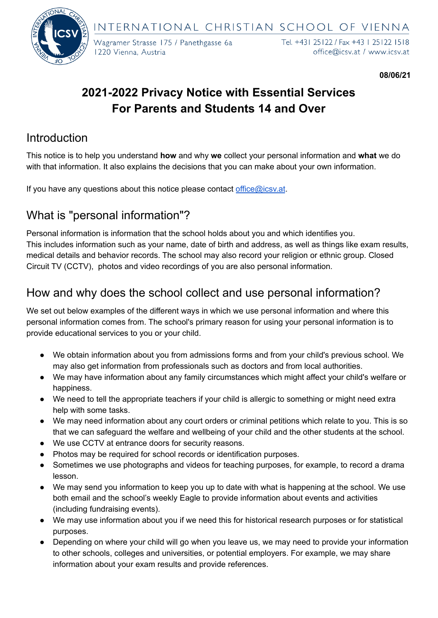INTERNATIONAL CHRISTIAN SCHOOL OF VIENNA



Wagramer Strasse 175 / Panethgasse 6a 1220 Vienna, Austria

Tel. +431 25122 / Fax +43 1 25122 1518 office@icsv.at / www.icsv.at

**08/06/21**

# **2021-2022 Privacy Notice with Essential Services For Parents and Students 14 and Over**

## Introduction

This notice is to help you understand **how** and why **we** collect your personal information and **what** we do with that information. It also explains the decisions that you can make about your own information.

If you have any questions about this notice please contact [office@icsv.at](mailto:office@icsv.at).

# What is "personal information"?

Personal information is information that the school holds about you and which identifies you. This includes information such as your name, date of birth and address, as well as things like exam results, medical details and behavior records. The school may also record your religion or ethnic group. Closed Circuit TV (CCTV), photos and video recordings of you are also personal information.

## How and why does the school collect and use personal information?

We set out below examples of the different ways in which we use personal information and where this personal information comes from. The school's primary reason for using your personal information is to provide educational services to you or your child.

- We obtain information about you from admissions forms and from your child's previous school. We may also get information from professionals such as doctors and from local authorities.
- We may have information about any family circumstances which might affect your child's welfare or happiness.
- We need to tell the appropriate teachers if your child is allergic to something or might need extra help with some tasks.
- We may need information about any court orders or criminal petitions which relate to you. This is so that we can safeguard the welfare and wellbeing of your child and the other students at the school.
- We use CCTV at entrance doors for security reasons.
- Photos may be required for school records or identification purposes.
- Sometimes we use photographs and videos for teaching purposes, for example, to record a drama lesson.
- We may send you information to keep you up to date with what is happening at the school. We use both email and the school's weekly Eagle to provide information about events and activities (including fundraising events).
- We may use information about you if we need this for historical research purposes or for statistical purposes.
- Depending on where your child will go when you leave us, we may need to provide your information to other schools, colleges and universities, or potential employers. For example, we may share information about your exam results and provide references.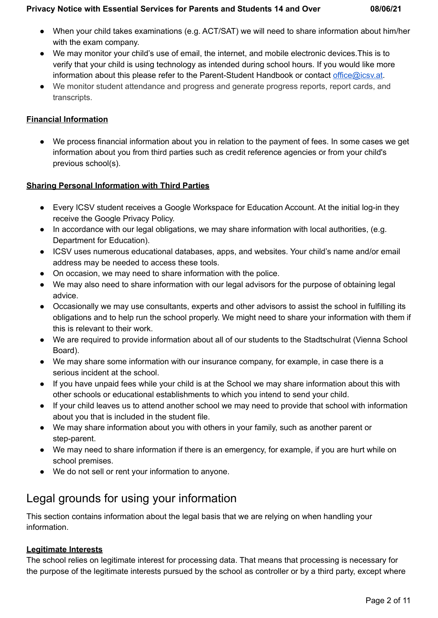#### **Privacy Notice with Essential Services for Parents and Students 14 and Over 08/06/21**

- When your child takes examinations (e.g. ACT/SAT) we will need to share information about him/her with the exam company.
- We may monitor your child's use of email, the internet, and mobile electronic devices.This is to verify that your child is using technology as intended during school hours. If you would like more information about this please refer to the Parent-Student Handbook or contact [office@icsv.at.](mailto:office@icsv.at)
- We monitor student attendance and progress and generate progress reports, report cards, and transcripts.

### **Financial Information**

● We process financial information about you in relation to the payment of fees. In some cases we get information about you from third parties such as credit reference agencies or from your child's previous school(s).

## **Sharing Personal Information with Third Parties**

- Every ICSV student receives a Google Workspace for Education Account. At the initial log-in they receive the Google Privacy Policy.
- In accordance with our legal obligations, we may share information with local authorities, (e.g. Department for Education).
- ICSV uses numerous educational databases, apps, and websites. Your child's name and/or email address may be needed to access these tools.
- On occasion, we may need to share information with the police.
- We may also need to share information with our legal advisors for the purpose of obtaining legal advice.
- Occasionally we may use consultants, experts and other advisors to assist the school in fulfilling its obligations and to help run the school properly. We might need to share your information with them if this is relevant to their work.
- We are required to provide information about all of our students to the Stadtschulrat (Vienna School Board).
- We may share some information with our insurance company, for example, in case there is a serious incident at the school.
- If you have unpaid fees while your child is at the School we may share information about this with other schools or educational establishments to which you intend to send your child.
- If your child leaves us to attend another school we may need to provide that school with information about you that is included in the student file.
- We may share information about you with others in your family, such as another parent or step-parent.
- We may need to share information if there is an emergency, for example, if you are hurt while on school premises.
- We do not sell or rent your information to anyone.

# Legal grounds for using your information

This section contains information about the legal basis that we are relying on when handling your information.

## **Legitimate Interests**

The school relies on legitimate interest for processing data. That means that processing is necessary for the purpose of the legitimate interests pursued by the school as controller or by a third party, except where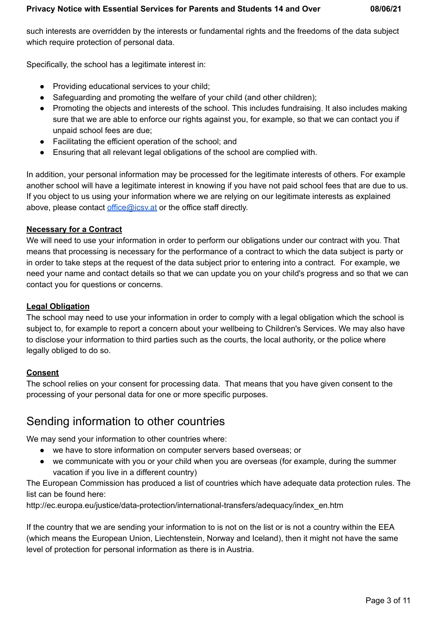such interests are overridden by the interests or fundamental rights and the freedoms of the data subject which require protection of personal data.

Specifically, the school has a legitimate interest in:

- Providing educational services to your child;
- Safeguarding and promoting the welfare of your child (and other children);
- Promoting the objects and interests of the school. This includes fundraising. It also includes making sure that we are able to enforce our rights against you, for example, so that we can contact you if unpaid school fees are due;
- Facilitating the efficient operation of the school; and
- Ensuring that all relevant legal obligations of the school are complied with.

In addition, your personal information may be processed for the legitimate interests of others. For example another school will have a legitimate interest in knowing if you have not paid school fees that are due to us. If you object to us using your information where we are relying on our legitimate interests as explained above, please contact [office@icsv.at](mailto:office@icsv.at) or the office staff directly.

### **Necessary for a Contract**

We will need to use your information in order to perform our obligations under our contract with you. That means that processing is necessary for the performance of a contract to which the data subject is party or in order to take steps at the request of the data subject prior to entering into a contract. For example, we need your name and contact details so that we can update you on your child's progress and so that we can contact you for questions or concerns.

### **Legal Obligation**

The school may need to use your information in order to comply with a legal obligation which the school is subject to, for example to report a concern about your wellbeing to Children's Services. We may also have to disclose your information to third parties such as the courts, the local authority, or the police where legally obliged to do so.

### **Consent**

The school relies on your consent for processing data. That means that you have given consent to the processing of your personal data for one or more specific purposes.

## Sending information to other countries

We may send your information to other countries where:

- we have to store information on computer servers based overseas; or
- we communicate with you or your child when you are overseas (for example, during the summer vacation if you live in a different country)

The European Commission has produced a list of countries which have adequate data protection rules. The list can be found here:

http://ec.europa.eu/justice/data-protection/international-transfers/adequacy/index\_en.htm

If the country that we are sending your information to is not on the list or is not a country within the EEA (which means the European Union, Liechtenstein, Norway and Iceland), then it might not have the same level of protection for personal information as there is in Austria.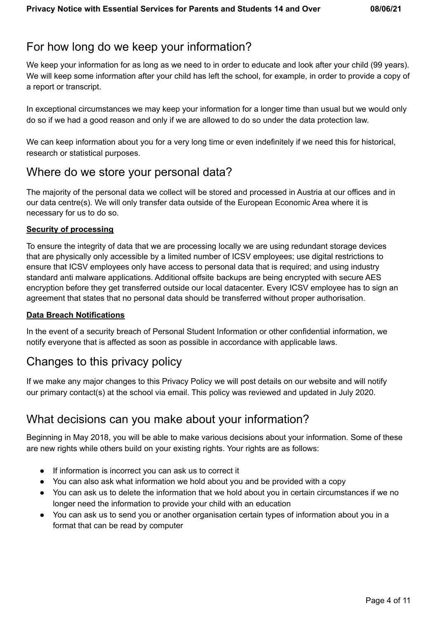## For how long do we keep your information?

We keep your information for as long as we need to in order to educate and look after your child (99 years). We will keep some information after your child has left the school, for example, in order to provide a copy of a report or transcript.

In exceptional circumstances we may keep your information for a longer time than usual but we would only do so if we had a good reason and only if we are allowed to do so under the data protection law.

We can keep information about you for a very long time or even indefinitely if we need this for historical, research or statistical purposes.

## Where do we store your personal data?

The majority of the personal data we collect will be stored and processed in Austria at our offices and in our data centre(s). We will only transfer data outside of the European Economic Area where it is necessary for us to do so.

### **Security of processing**

To ensure the integrity of data that we are processing locally we are using redundant storage devices that are physically only accessible by a limited number of ICSV employees; use digital restrictions to ensure that ICSV employees only have access to personal data that is required; and using industry standard anti malware applications. Additional offsite backups are being encrypted with secure AES encryption before they get transferred outside our local datacenter. Every ICSV employee has to sign an agreement that states that no personal data should be transferred without proper authorisation.

#### **Data Breach Notifications**

In the event of a security breach of Personal Student Information or other confidential information, we notify everyone that is affected as soon as possible in accordance with applicable laws.

## Changes to this privacy policy

If we make any major changes to this Privacy Policy we will post details on our website and will notify our primary contact(s) at the school via email. This policy was reviewed and updated in July 2020.

## What decisions can you make about your information?

Beginning in May 2018, you will be able to make various decisions about your information. Some of these are new rights while others build on your existing rights. Your rights are as follows:

- If information is incorrect you can ask us to correct it
- You can also ask what information we hold about you and be provided with a copy
- You can ask us to delete the information that we hold about you in certain circumstances if we no longer need the information to provide your child with an education
- You can ask us to send you or another organisation certain types of information about you in a format that can be read by computer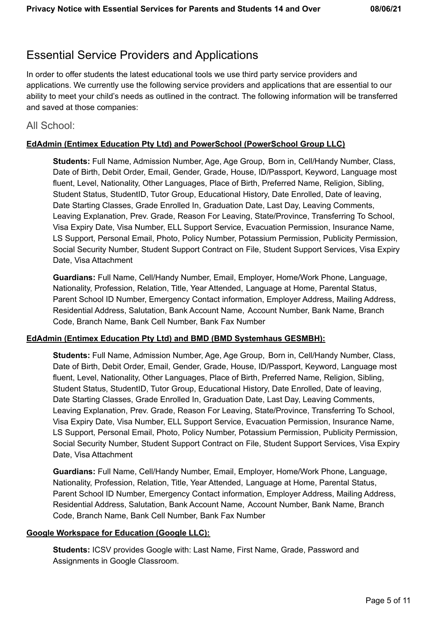## Essential Service Providers and Applications

In order to offer students the latest educational tools we use third party service providers and applications. We currently use the following service providers and applications that are essential to our ability to meet your child's needs as outlined in the contract. The following information will be transferred and saved at those companies:

### All School:

#### **EdAdmin (Entimex Education Pty Ltd) and PowerSchool (PowerSchool Group LLC)**

**Students:** Full Name, Admission Number, Age, Age Group, Born in, Cell/Handy Number, Class, Date of Birth, Debit Order, Email, Gender, Grade, House, ID/Passport, Keyword, Language most fluent, Level, Nationality, Other Languages, Place of Birth, Preferred Name, Religion, Sibling, Student Status, StudentID, Tutor Group, Educational History, Date Enrolled, Date of leaving, Date Starting Classes, Grade Enrolled In, Graduation Date, Last Day, Leaving Comments, Leaving Explanation, Prev. Grade, Reason For Leaving, State/Province, Transferring To School, Visa Expiry Date, Visa Number, ELL Support Service, Evacuation Permission, Insurance Name, LS Support, Personal Email, Photo, Policy Number, Potassium Permission, Publicity Permission, Social Security Number, Student Support Contract on File, Student Support Services, Visa Expiry Date, Visa Attachment

**Guardians:** Full Name, Cell/Handy Number, Email, Employer, Home/Work Phone, Language, Nationality, Profession, Relation, Title, Year Attended, Language at Home, Parental Status, Parent School ID Number, Emergency Contact information, Employer Address, Mailing Address, Residential Address, Salutation, Bank Account Name, Account Number, Bank Name, Branch Code, Branch Name, Bank Cell Number, Bank Fax Number

#### **EdAdmin (Entimex Education Pty Ltd) and BMD (BMD Systemhaus GESMBH):**

**Students:** Full Name, Admission Number, Age, Age Group, Born in, Cell/Handy Number, Class, Date of Birth, Debit Order, Email, Gender, Grade, House, ID/Passport, Keyword, Language most fluent, Level, Nationality, Other Languages, Place of Birth, Preferred Name, Religion, Sibling, Student Status, StudentID, Tutor Group, Educational History, Date Enrolled, Date of leaving, Date Starting Classes, Grade Enrolled In, Graduation Date, Last Day, Leaving Comments, Leaving Explanation, Prev. Grade, Reason For Leaving, State/Province, Transferring To School, Visa Expiry Date, Visa Number, ELL Support Service, Evacuation Permission, Insurance Name, LS Support, Personal Email, Photo, Policy Number, Potassium Permission, Publicity Permission, Social Security Number, Student Support Contract on File, Student Support Services, Visa Expiry Date, Visa Attachment

**Guardians:** Full Name, Cell/Handy Number, Email, Employer, Home/Work Phone, Language, Nationality, Profession, Relation, Title, Year Attended, Language at Home, Parental Status, Parent School ID Number, Emergency Contact information, Employer Address, Mailing Address, Residential Address, Salutation, Bank Account Name, Account Number, Bank Name, Branch Code, Branch Name, Bank Cell Number, Bank Fax Number

#### **Google Workspace for Education (Google LLC):**

**Students:** ICSV provides Google with: Last Name, First Name, Grade, Password and Assignments in Google Classroom.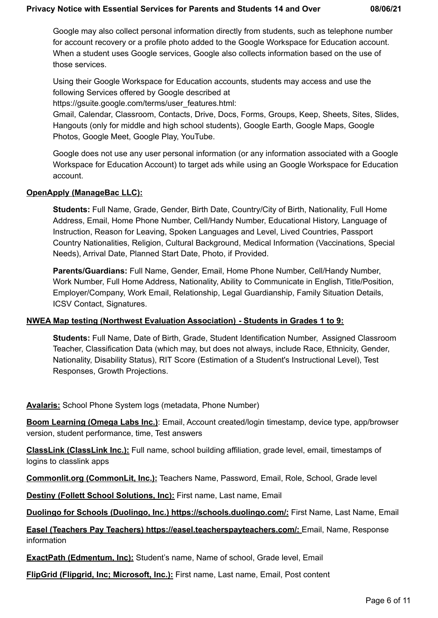#### **Privacy Notice with Essential Services for Parents and Students 14 and Over 08/06/21**

Google may also collect personal information directly from students, such as telephone number for account recovery or a profile photo added to the Google Workspace for Education account. When a student uses Google services, Google also collects information based on the use of those services.

Using their Google Workspace for Education accounts, students may access and use the following Services offered by Google described at

[https://gsuite.google.com/terms/user\\_features.html:](https://gsuite.google.com/terms/user_features.html)

Gmail, Calendar, Classroom, Contacts, Drive, Docs, Forms, Groups, Keep, Sheets, Sites, Slides, Hangouts (only for middle and high school students), Google Earth, Google Maps, Google Photos, Google Meet, Google Play, YouTube.

Google does not use any user personal information (or any information associated with a Google Workspace for Education Account) to target ads while using an Google Workspace for Education account.

#### **OpenApply (ManageBac LLC):**

**Students:** Full Name, Grade, Gender, Birth Date, Country/City of Birth, Nationality, Full Home Address, Email, Home Phone Number, Cell/Handy Number, Educational History, Language of Instruction, Reason for Leaving, Spoken Languages and Level, Lived Countries, Passport Country Nationalities, Religion, Cultural Background, Medical Information (Vaccinations, Special Needs), Arrival Date, Planned Start Date, Photo, if Provided.

**Parents/Guardians:** Full Name, Gender, Email, Home Phone Number, Cell/Handy Number, Work Number, Full Home Address, Nationality, Ability to Communicate in English, Title/Position, Employer/Company, Work Email, Relationship, Legal Guardianship, Family Situation Details, ICSV Contact, Signatures.

#### **NWEA Map testing (Northwest Evaluation Association) - Students in Grades 1 to 9:**

**Students:** Full Name, Date of Birth, Grade, Student Identification Number, Assigned Classroom Teacher, Classification Data (which may, but does not always, include Race, Ethnicity, Gender, Nationality, Disability Status), RIT Score (Estimation of a Student's Instructional Level), Test Responses, Growth Projections.

**Avalaris:** School Phone System logs (metadata, Phone Number)

**Boom Learning (Omega Labs Inc.)**: Email, Account created/login timestamp, device type, app/browser version, student performance, time, Test answers

**ClassLink (ClassLink Inc.):** Full name, school building affiliation, grade level, email, timestamps of logins to classlink apps

**Commonlit.org (CommonLit, Inc.):** Teachers Name, Password, Email, Role, School, Grade level

**Destiny (Follett School Solutions, Inc):** First name, Last name, Email

**Duolingo for Schools (Duolingo, Inc.) https://schools.duolingo.com/:** First Name, Last Name, Email

**Easel (Teachers Pay Teachers) https://easel.teacherspayteachers.com/:** Email, Name, Response information

**ExactPath (Edmentum, Inc):** Student's name, Name of school, Grade level, Email

**FlipGrid (Flipgrid, Inc; Microsoft, Inc.):** First name, Last name, Email, Post content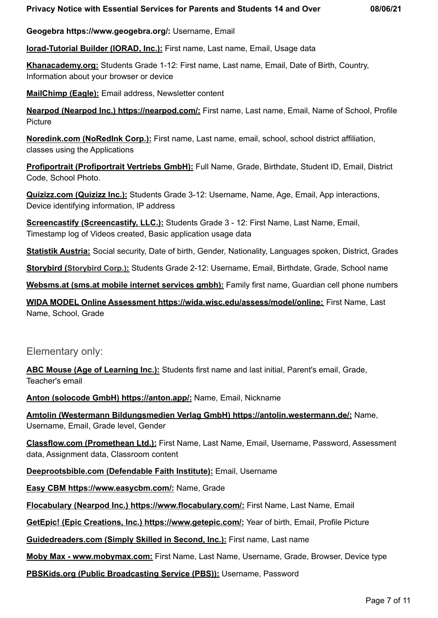**Geogebra https://www.geogebra.org/:** Username, Email

**Iorad-Tutorial Builder (IORAD, Inc.):** First name, Last name, Email, Usage data

**Khanacademy.org:** Students Grade 1-12: First name, Last name, Email, Date of Birth, Country, Information about your browser or device

**MailChimp (Eagle):** Email address, Newsletter content

**Nearpod (Nearpod Inc.) https://nearpod.com/:** First name, Last name, Email, Name of School, Profile **Picture** 

**Noredink.com (NoRedInk Corp.):** First name, Last name, email, school, school district affiliation, classes using the Applications

**Profiportrait (Profiportrait Vertriebs GmbH):** Full Name, Grade, Birthdate, Student ID, Email, District Code, School Photo.

**Quizizz.com (Quizizz Inc.):** Students Grade 3-12: Username, Name, Age, Email, App interactions, Device identifying information, IP address

**Screencastify (Screencastify, LLC.):** Students Grade 3 - 12: First Name, Last Name, Email, Timestamp log of Videos created, Basic application usage data

**Statistik Austria:** Social security, Date of birth, Gender, Nationality, Languages spoken, District, Grades

**[Storybird](http://www.storybird.com) (Storybird Corp.):** Students Grade 2-12: Username, Email, Birthdate, Grade, School name

**Websms.at (sms.at mobile internet services gmbh):** Family first name, Guardian cell phone numbers

**WIDA MODEL Online Assessment https://wida.wisc.edu/assess/model/online:** First Name, Last Name, School, Grade

#### Elementary only:

**ABC Mouse (Age of Learning Inc.):** Students first name and last initial, Parent's email, Grade, Teacher's email

**Anton (solocode GmbH) https://anton.app/:** Name, Email, Nickname

**Amtolin (Westermann Bildungsmedien Verlag GmbH) https://antolin.westermann.de/:** Name, Username, Email, Grade level, Gender

**Classflow.com (Promethean Ltd.):** First Name, Last Name, Email, Username, Password, Assessment data, Assignment data, Classroom content

**Deeprootsbible.com (Defendable Faith Institute):** Email, Username

**Easy CBM https://www.easycbm.com/:** Name, Grade

**Flocabulary (Nearpod Inc.) https://www.flocabulary.com/:** First Name, Last Name, Email

**GetEpic! (Epic Creations, Inc.) https://www.getepic.com/:** Year of birth, Email, Profile Picture

**Guidedreaders.com (Simply Skilled in Second, Inc.):** First name, Last name

**Moby Max - [www.mobymax.com](http://www.mobymax.com):** First Name, Last Name, Username, Grade, Browser, Device type

**PBSKids.org (Public Broadcasting Service (PBS)):** Username, Password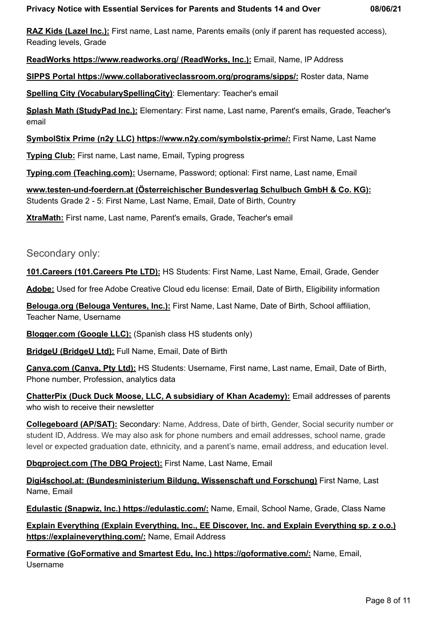**RAZ Kids (Lazel Inc.):** First name, Last name, Parents emails (only if parent has requested access), Reading levels, Grade

**ReadWorks https://www.readworks.org/ (ReadWorks, Inc.):** Email, Name, IP Address

**SIPPS Portal https://www.collaborativeclassroom.org/programs/sipps/:** Roster data, Name

**Spelling City (VocabularySpellingCity)**: Elementary: Teacher's email

**Splash Math (StudyPad Inc.):** Elementary: First name, Last name, Parent's emails, Grade, Teacher's email

**SymbolStix Prime (n2y LLC) https://www.n2y.com/symbolstix-prime/:** First Name, Last Name

**Typing Club:** First name, Last name, Email, Typing progress

**Typing.com (Teaching.com):** Username, Password; optional: First name, Last name, Email

**www.testen-und-foerdern.at (Österreichischer Bundesverlag Schulbuch GmbH & Co. KG):** Students Grade 2 - 5: First Name, Last Name, Email, Date of Birth, Country

**XtraMath:** First name, Last name, Parent's emails, Grade, Teacher's email

### Secondary only:

**101.Careers (101.Careers Pte LTD):** HS Students: First Name, Last Name, Email, Grade, Gender

**Adobe:** Used for free Adobe Creative Cloud edu license: Email, Date of Birth, Eligibility information

**Belouga.org (Belouga Ventures, Inc.):** First Name, Last Name, Date of Birth, School affiliation, Teacher Name, Username

**Blogger.com (Google LLC):** (Spanish class HS students only)

**BridgeU (BridgeU Ltd):** Full Name, Email, Date of Birth

**Canva.com (Canva, Pty Ltd):** HS Students: Username, First name, Last name, Email, Date of Birth, Phone number, Profession, analytics data

**ChatterPix (Duck Duck Moose, LLC, A subsidiary of Khan Academy):** Email addresses of parents who wish to receive their newsletter

**Collegeboard (AP/SAT):** Secondary: Name, Address, Date of birth, Gender, Social security number or student ID, Address. We may also ask for phone numbers and email addresses, school name, grade level or expected graduation date, ethnicity, and a parent's name, email address, and education level.

**Dbqproject.com (The DBQ Project):** First Name, Last Name, Email

**Digi4school.at: (Bundesministerium Bildung, Wissenschaft und Forschung)** First Name, Last Name, Email

**Edulastic (Snapwiz, Inc.) https://edulastic.com/:** Name, Email, School Name, Grade, Class Name

**Explain Everything (Explain Everything, Inc., EE Discover, Inc. and Explain Everything sp. z o.o.) https://explaineverything.com/:** Name, Email Address

**Formative (GoFormative and Smartest Edu, Inc.) https://goformative.com/:** Name, Email, Username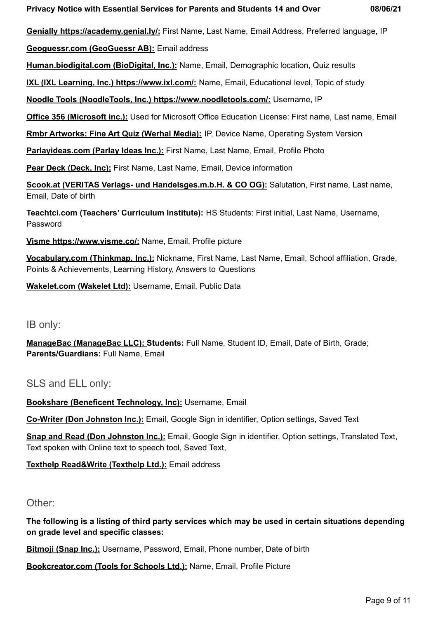**Genially https://academy.genial.ly/:** First Name, Last Name, Email Address, Preferred language, IP

**Geoguessr.com (GeoGuessr AB):** Email address

**Human.biodigital.com (BioDigital, Inc.):** Name, Email, Demographic location, Quiz results

**IXL (IXL Learning, Inc.) https://www.ixl.com/:** Name, Email, Educational level, Topic of study

**Noodle Tools (NoodleTools, Inc.) https://www.noodletools.com/:** Username, IP

**Office 356 (Microsoft inc.):** Used for Microsoft Office Education License: First name, Last name, Email

**Rmbr Artworks: Fine Art Quiz (Werhal Media):** IP, Device Name, Operating System Version

**Parlayideas.com (Parlay Ideas Inc.):** First Name, Last Name, Email, Profile Photo

**Pear Deck (Deck, Inc):** First Name, Last Name, Email, Device information

**Scook.at (VERITAS Verlags- und Handelsges.m.b.H. & CO OG):** Salutation, First name, Last name, Email, Date of birth

**Teachtci.com (Teachers' Curriculum Institute):** HS Students: First initial, Last Name, Username, Password

**Visme https://www.visme.co/:** Name, Email, Profile picture

**Vocabulary.com (Thinkmap, Inc.):** Nickname, First Name, Last Name, Email, School affiliation, Grade, Points & Achievements, Learning History, Answers to Questions

**[Wakelet.com](https://wakelet.com/) (Wakelet Ltd):** Username, Email, Public Data

IB only:

**ManageBac (ManageBac LLC): Students:** Full Name, Student ID, Email, Date of Birth, Grade; **Parents/Guardians:** Full Name, Email

SLS and ELL only:

**Bookshare (Beneficent Technology, Inc):** Username, Email

**Co-Writer (Don Johnston Inc.):** Email, Google Sign in identifier, Option settings, Saved Text

**Snap and Read (Don Johnston Inc.):** Email, Google Sign in identifier, Option settings, Translated Text, Text spoken with Online text to speech tool, Saved Text,

**Texthelp Read&Write (Texthelp Ltd.):** Email address

### Other:

**The following is a listing of third party services which may be used in certain situations depending on grade level and specific classes:**

**Bitmoji (Snap Inc.):** Username, Password, Email, Phone number, Date of birth

**Bookcreator.com (Tools for Schools Ltd.):** Name, Email, Profile Picture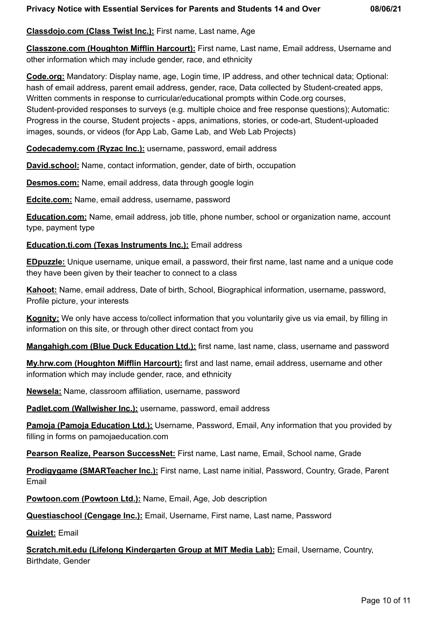### **Classdojo.com (Class Twist Inc.):** First name, Last name, Age

**Classzone.com (Houghton Mifflin Harcourt):** First name, Last name, Email address, Username and other information which may include gender, race, and ethnicity

**Code.org:** Mandatory: Display name, age, Login time, IP address, and other technical data; Optional: hash of email address, parent email address, gender, race, Data collected by Student-created apps, Written comments in response to curricular/educational prompts within Code.org courses, Student-provided responses to surveys (e.g. multiple choice and free response questions); Automatic: Progress in the course, Student projects - apps, animations, stories, or code-art, Student-uploaded images, sounds, or videos (for App Lab, Game Lab, and Web Lab Projects)

**Codecademy.com (Ryzac Inc.):** username, password, email address

**David.school:** Name, contact information, gender, date of birth, occupation

**Desmos.com:** Name, email address, data through google login

**Edcite.com:** Name, email address, username, password

**Education.com:** Name, email address, job title, phone number, school or organization name, account type, payment type

#### **Education.ti.com (Texas Instruments Inc.):** Email address

**EDpuzzle:** Unique username, unique email, a password, their first name, last name and a unique code they have been given by their teacher to connect to a class

**Kahoot:** Name, email address, Date of birth, School, Biographical information, username, password, Profile picture, your interests

**Kognity:** We only have access to/collect information that you voluntarily give us via email, by filling in information on this site, or through other direct contact from you

**Mangahigh.com (Blue Duck Education Ltd.):** first name, last name, class, username and password

**My.hrw.com (Houghton Mifflin Harcourt):** first and last name, email address, username and other information which may include gender, race, and ethnicity

**Newsela:** Name, classroom affiliation, username, password

**Padlet.com (Wallwisher Inc.):** username, password, email address

**Pamoja (Pamoja Education Ltd.):** Username, Password, Email, Any information that you provided by filling in forms on pamojaeducation.com

**Pearson Realize, Pearson SuccessNet:** First name, Last name, Email, School name, Grade

**Prodigygame (SMARTeacher Inc.):** First name, Last name initial, Password, Country, Grade, Parent Email

**Powtoon.com (Powtoon Ltd.):** Name, Email, Age, Job description

**Questiaschool (Cengage Inc.):** Email, Username, First name, Last name, Password

**Quizlet:** Email

**Scratch.mit.edu (Lifelong Kindergarten Group at MIT Media Lab):** Email, Username, Country, Birthdate, Gender